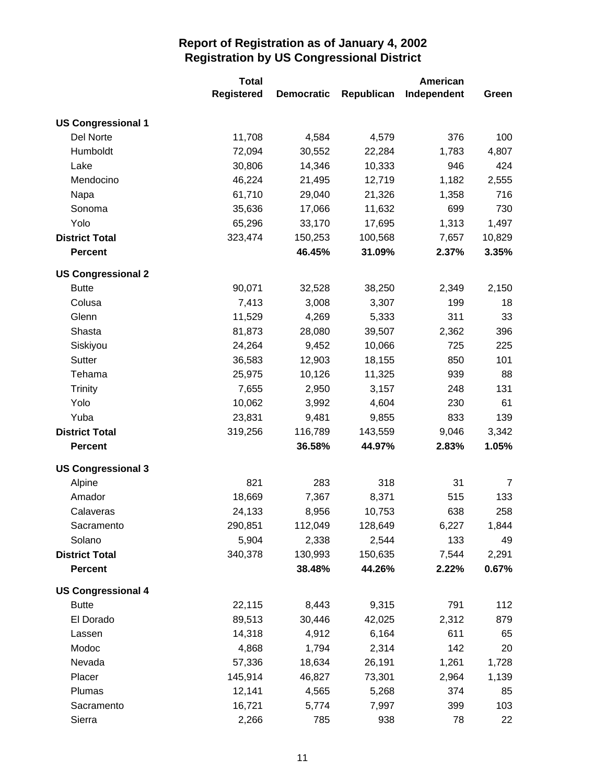|                           | <b>Total</b>      |                   |            | <b>American</b> |        |
|---------------------------|-------------------|-------------------|------------|-----------------|--------|
|                           | <b>Registered</b> | <b>Democratic</b> | Republican | Independent     | Green  |
| <b>US Congressional 1</b> |                   |                   |            |                 |        |
| Del Norte                 | 11,708            | 4,584             | 4,579      | 376             | 100    |
| Humboldt                  | 72,094            | 30,552            | 22,284     | 1,783           | 4,807  |
| Lake                      | 30,806            | 14,346            | 10,333     | 946             | 424    |
| Mendocino                 | 46,224            | 21,495            | 12,719     | 1,182           | 2,555  |
| Napa                      | 61,710            | 29,040            | 21,326     | 1,358           | 716    |
| Sonoma                    | 35,636            | 17,066            | 11,632     | 699             | 730    |
| Yolo                      | 65,296            | 33,170            | 17,695     | 1,313           | 1,497  |
| <b>District Total</b>     | 323,474           | 150,253           | 100,568    | 7,657           | 10,829 |
| <b>Percent</b>            |                   | 46.45%            | 31.09%     | 2.37%           | 3.35%  |
| <b>US Congressional 2</b> |                   |                   |            |                 |        |
| <b>Butte</b>              | 90,071            | 32,528            | 38,250     | 2,349           | 2,150  |
| Colusa                    | 7,413             | 3,008             | 3,307      | 199             | 18     |
| Glenn                     | 11,529            | 4,269             | 5,333      | 311             | 33     |
| Shasta                    | 81,873            | 28,080            | 39,507     | 2,362           | 396    |
| Siskiyou                  | 24,264            | 9,452             | 10,066     | 725             | 225    |
| Sutter                    | 36,583            | 12,903            | 18,155     | 850             | 101    |
| Tehama                    | 25,975            | 10,126            | 11,325     | 939             | 88     |
| <b>Trinity</b>            | 7,655             | 2,950             | 3,157      | 248             | 131    |
| Yolo                      | 10,062            | 3,992             | 4,604      | 230             | 61     |
| Yuba                      | 23,831            | 9,481             | 9,855      | 833             | 139    |
| <b>District Total</b>     | 319,256           | 116,789           | 143,559    | 9,046           | 3,342  |
| <b>Percent</b>            |                   | 36.58%            | 44.97%     | 2.83%           | 1.05%  |
| <b>US Congressional 3</b> |                   |                   |            |                 |        |
| Alpine                    | 821               | 283               | 318        | 31              | 7      |
| Amador                    | 18,669            | 7,367             | 8,371      | 515             | 133    |
| Calaveras                 | 24,133            | 8,956             | 10,753     | 638             | 258    |
| Sacramento                | 290,851           | 112,049           | 128,649    | 6,227           | 1,844  |
| Solano                    | 5,904             | 2,338             | 2,544      | 133             | 49     |
| <b>District Total</b>     | 340,378           | 130,993           | 150,635    | 7,544           | 2,291  |
| <b>Percent</b>            |                   | 38.48%            | 44.26%     | 2.22%           | 0.67%  |
| <b>US Congressional 4</b> |                   |                   |            |                 |        |
| <b>Butte</b>              | 22,115            | 8,443             | 9,315      | 791             | 112    |
| El Dorado                 | 89,513            | 30,446            | 42,025     | 2,312           | 879    |
| Lassen                    | 14,318            | 4,912             | 6,164      | 611             | 65     |
| Modoc                     | 4,868             | 1,794             | 2,314      | 142             | 20     |
| Nevada                    | 57,336            | 18,634            | 26,191     | 1,261           | 1,728  |
| Placer                    | 145,914           | 46,827            | 73,301     | 2,964           | 1,139  |
| Plumas                    | 12,141            | 4,565             | 5,268      | 374             | 85     |
| Sacramento                | 16,721            | 5,774             | 7,997      | 399             | 103    |
| Sierra                    | 2,266             | 785               | 938        | 78              | 22     |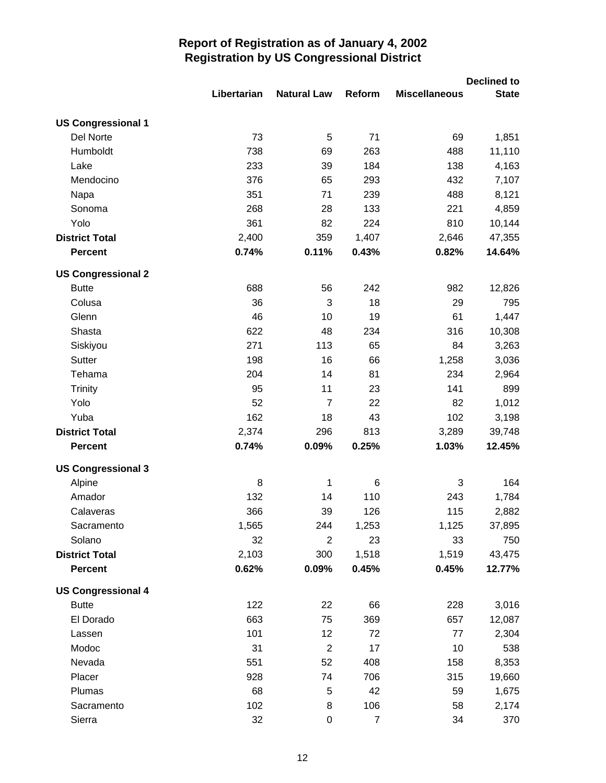|                           |             |                    |                |                      | <b>Declined to</b> |
|---------------------------|-------------|--------------------|----------------|----------------------|--------------------|
|                           | Libertarian | <b>Natural Law</b> | Reform         | <b>Miscellaneous</b> | <b>State</b>       |
| <b>US Congressional 1</b> |             |                    |                |                      |                    |
| Del Norte                 | 73          | 5                  | 71             | 69                   | 1,851              |
| Humboldt                  | 738         | 69                 | 263            | 488                  | 11,110             |
| Lake                      | 233         | 39                 | 184            | 138                  | 4,163              |
| Mendocino                 | 376         | 65                 | 293            | 432                  | 7,107              |
| Napa                      | 351         | 71                 | 239            | 488                  | 8,121              |
| Sonoma                    | 268         | 28                 | 133            | 221                  | 4,859              |
| Yolo                      | 361         | 82                 | 224            | 810                  | 10,144             |
| <b>District Total</b>     | 2,400       | 359                | 1,407          | 2,646                | 47,355             |
| <b>Percent</b>            | 0.74%       | 0.11%              | 0.43%          | 0.82%                | 14.64%             |
| <b>US Congressional 2</b> |             |                    |                |                      |                    |
| <b>Butte</b>              | 688         | 56                 | 242            | 982                  | 12,826             |
| Colusa                    | 36          | 3                  | 18             | 29                   | 795                |
| Glenn                     | 46          | 10                 | 19             | 61                   | 1,447              |
| Shasta                    | 622         | 48                 | 234            | 316                  | 10,308             |
| Siskiyou                  | 271         | 113                | 65             | 84                   | 3,263              |
| Sutter                    | 198         | 16                 | 66             | 1,258                | 3,036              |
| Tehama                    | 204         | 14                 | 81             | 234                  | 2,964              |
| <b>Trinity</b>            | 95          | 11                 | 23             | 141                  | 899                |
| Yolo                      | 52          | $\overline{7}$     | 22             | 82                   | 1,012              |
| Yuba                      | 162         | 18                 | 43             | 102                  | 3,198              |
| <b>District Total</b>     | 2,374       | 296                | 813            | 3,289                | 39,748             |
| <b>Percent</b>            | 0.74%       | 0.09%              | 0.25%          | 1.03%                | 12.45%             |
| <b>US Congressional 3</b> |             |                    |                |                      |                    |
| Alpine                    | 8           | 1                  | 6              | $\mathbf{3}$         | 164                |
| Amador                    | 132         | 14                 | 110            | 243                  | 1,784              |
| Calaveras                 | 366         | 39                 | 126            | 115                  | 2,882              |
| Sacramento                | 1,565       | 244                | 1,253          | 1,125                | 37,895             |
| Solano                    | 32          | $\overline{2}$     | 23             | 33                   | 750                |
| <b>District Total</b>     | 2,103       | 300                | 1,518          | 1,519                | 43,475             |
| <b>Percent</b>            | 0.62%       | 0.09%              | 0.45%          | 0.45%                | 12.77%             |
| <b>US Congressional 4</b> |             |                    |                |                      |                    |
| <b>Butte</b>              | 122         | 22                 | 66             | 228                  | 3,016              |
| El Dorado                 | 663         | 75                 | 369            | 657                  | 12,087             |
| Lassen                    | 101         | 12                 | 72             | 77                   | 2,304              |
| Modoc                     | 31          | $\overline{c}$     | 17             | 10                   | 538                |
| Nevada                    | 551         | 52                 | 408            | 158                  | 8,353              |
| Placer                    | 928         | 74                 | 706            | 315                  | 19,660             |
| Plumas                    | 68          | 5                  | 42             | 59                   | 1,675              |
| Sacramento                | 102         | 8                  | 106            | 58                   | 2,174              |
| Sierra                    | 32          | 0                  | $\overline{7}$ | 34                   | 370                |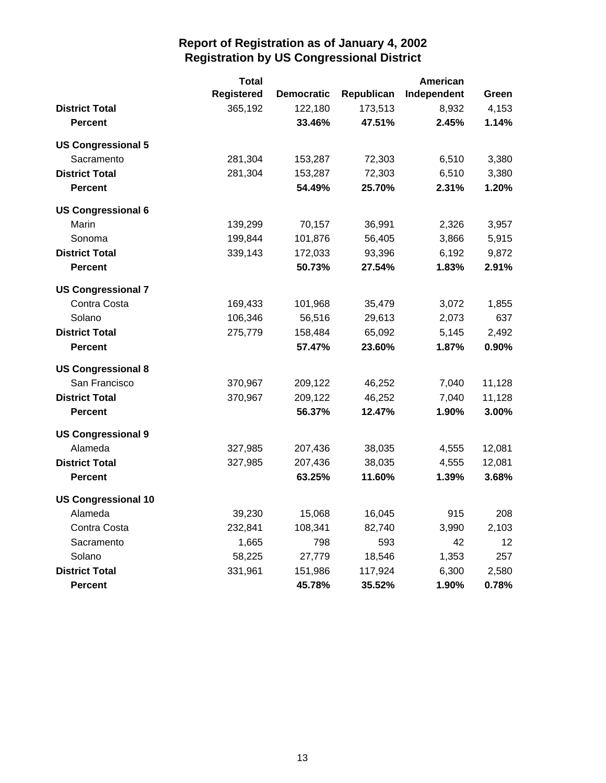|                            | <b>Total</b>      |                   |            | <b>American</b> |        |
|----------------------------|-------------------|-------------------|------------|-----------------|--------|
|                            | <b>Registered</b> | <b>Democratic</b> | Republican | Independent     | Green  |
| <b>District Total</b>      | 365,192           | 122,180           | 173,513    | 8,932           | 4,153  |
| <b>Percent</b>             |                   | 33.46%            | 47.51%     | 2.45%           | 1.14%  |
| <b>US Congressional 5</b>  |                   |                   |            |                 |        |
| Sacramento                 | 281,304           | 153,287           | 72,303     | 6,510           | 3,380  |
| <b>District Total</b>      | 281,304           | 153,287           | 72,303     | 6,510           | 3,380  |
| <b>Percent</b>             |                   | 54.49%            | 25.70%     | 2.31%           | 1.20%  |
| <b>US Congressional 6</b>  |                   |                   |            |                 |        |
| Marin                      | 139,299           | 70,157            | 36,991     | 2,326           | 3,957  |
| Sonoma                     | 199,844           | 101,876           | 56,405     | 3,866           | 5,915  |
| <b>District Total</b>      | 339,143           | 172,033           | 93,396     | 6,192           | 9,872  |
| <b>Percent</b>             |                   | 50.73%            | 27.54%     | 1.83%           | 2.91%  |
| <b>US Congressional 7</b>  |                   |                   |            |                 |        |
| Contra Costa               | 169,433           | 101,968           | 35,479     | 3,072           | 1,855  |
| Solano                     | 106,346           | 56,516            | 29,613     | 2,073           | 637    |
| <b>District Total</b>      | 275,779           | 158,484           | 65,092     | 5,145           | 2,492  |
| <b>Percent</b>             |                   | 57.47%            | 23.60%     | 1.87%           | 0.90%  |
| <b>US Congressional 8</b>  |                   |                   |            |                 |        |
| San Francisco              | 370,967           | 209,122           | 46,252     | 7,040           | 11,128 |
| <b>District Total</b>      | 370,967           | 209,122           | 46,252     | 7,040           | 11,128 |
| <b>Percent</b>             |                   | 56.37%            | 12.47%     | 1.90%           | 3.00%  |
| <b>US Congressional 9</b>  |                   |                   |            |                 |        |
| Alameda                    | 327,985           | 207,436           | 38,035     | 4,555           | 12,081 |
| <b>District Total</b>      | 327,985           | 207,436           | 38,035     | 4,555           | 12,081 |
| <b>Percent</b>             |                   | 63.25%            | 11.60%     | 1.39%           | 3.68%  |
| <b>US Congressional 10</b> |                   |                   |            |                 |        |
| Alameda                    | 39,230            | 15,068            | 16,045     | 915             | 208    |
| Contra Costa               | 232,841           | 108,341           | 82,740     | 3,990           | 2,103  |
| Sacramento                 | 1,665             | 798               | 593        | 42              | 12     |
| Solano                     | 58,225            | 27,779            | 18,546     | 1,353           | 257    |
| <b>District Total</b>      | 331,961           | 151,986           | 117,924    | 6,300           | 2,580  |
| <b>Percent</b>             |                   | 45.78%            | 35.52%     | 1.90%           | 0.78%  |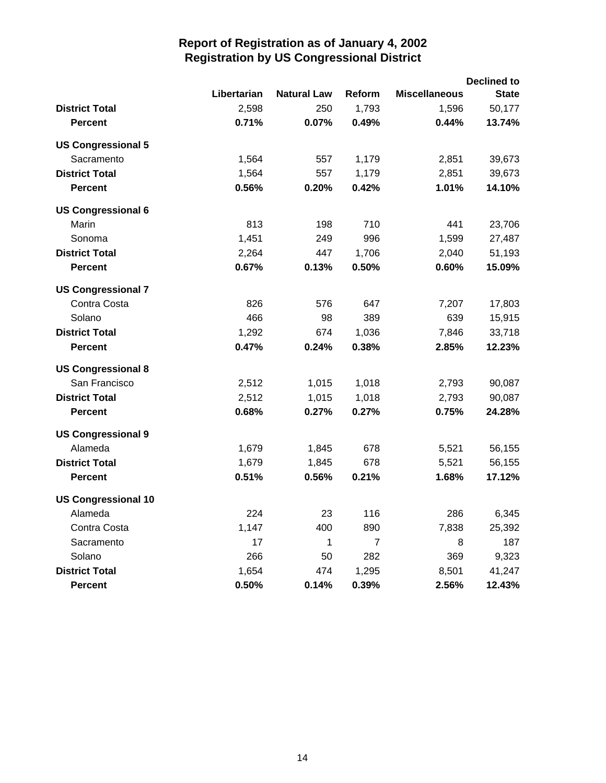|                            |             |                    |                |                      | <b>Declined to</b> |
|----------------------------|-------------|--------------------|----------------|----------------------|--------------------|
|                            | Libertarian | <b>Natural Law</b> | Reform         | <b>Miscellaneous</b> | <b>State</b>       |
| <b>District Total</b>      | 2,598       | 250                | 1,793          | 1,596                | 50,177             |
| <b>Percent</b>             | 0.71%       | 0.07%              | 0.49%          | 0.44%                | 13.74%             |
| <b>US Congressional 5</b>  |             |                    |                |                      |                    |
| Sacramento                 | 1,564       | 557                | 1,179          | 2,851                | 39,673             |
| <b>District Total</b>      | 1,564       | 557                | 1,179          | 2,851                | 39,673             |
| Percent                    | 0.56%       | 0.20%              | 0.42%          | 1.01%                | 14.10%             |
| <b>US Congressional 6</b>  |             |                    |                |                      |                    |
| Marin                      | 813         | 198                | 710            | 441                  | 23,706             |
| Sonoma                     | 1,451       | 249                | 996            | 1,599                | 27,487             |
| <b>District Total</b>      | 2,264       | 447                | 1,706          | 2,040                | 51,193             |
| <b>Percent</b>             | 0.67%       | 0.13%              | 0.50%          | 0.60%                | 15.09%             |
| <b>US Congressional 7</b>  |             |                    |                |                      |                    |
| Contra Costa               | 826         | 576                | 647            | 7,207                | 17,803             |
| Solano                     | 466         | 98                 | 389            | 639                  | 15,915             |
| <b>District Total</b>      | 1,292       | 674                | 1,036          | 7,846                | 33,718             |
| <b>Percent</b>             | 0.47%       | 0.24%              | 0.38%          | 2.85%                | 12.23%             |
| <b>US Congressional 8</b>  |             |                    |                |                      |                    |
| San Francisco              | 2,512       | 1,015              | 1,018          | 2,793                | 90,087             |
| <b>District Total</b>      | 2,512       | 1,015              | 1,018          | 2,793                | 90,087             |
| <b>Percent</b>             | 0.68%       | 0.27%              | 0.27%          | 0.75%                | 24.28%             |
| <b>US Congressional 9</b>  |             |                    |                |                      |                    |
| Alameda                    | 1,679       | 1,845              | 678            | 5,521                | 56,155             |
| <b>District Total</b>      | 1,679       | 1,845              | 678            | 5,521                | 56,155             |
| <b>Percent</b>             | 0.51%       | 0.56%              | 0.21%          | 1.68%                | 17.12%             |
| <b>US Congressional 10</b> |             |                    |                |                      |                    |
| Alameda                    | 224         | 23                 | 116            | 286                  | 6,345              |
| Contra Costa               | 1,147       | 400                | 890            | 7,838                | 25,392             |
| Sacramento                 | 17          | 1                  | $\overline{7}$ | 8                    | 187                |
| Solano                     | 266         | 50                 | 282            | 369                  | 9,323              |
| <b>District Total</b>      | 1,654       | 474                | 1,295          | 8,501                | 41,247             |
| <b>Percent</b>             | 0.50%       | 0.14%              | 0.39%          | 2.56%                | 12.43%             |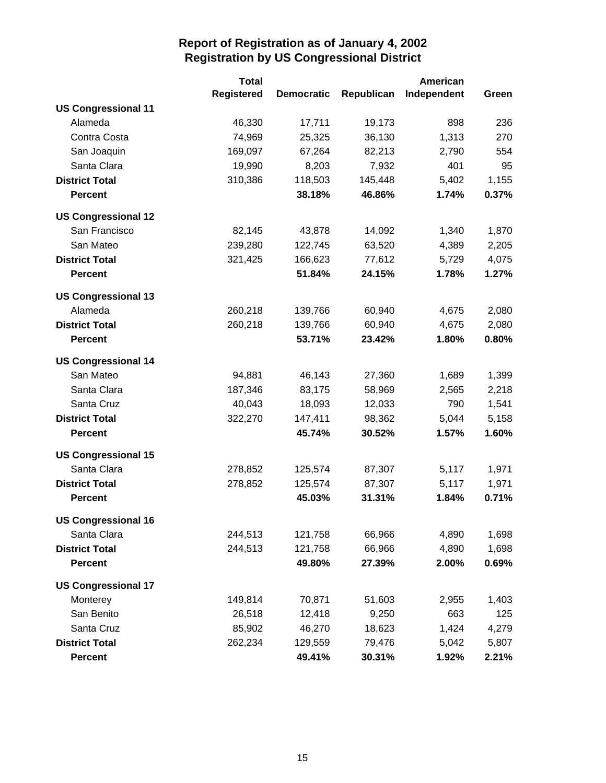|                            | <b>Total</b>      |                   |            | <b>American</b> |       |
|----------------------------|-------------------|-------------------|------------|-----------------|-------|
|                            | <b>Registered</b> | <b>Democratic</b> | Republican | Independent     | Green |
| <b>US Congressional 11</b> |                   |                   |            |                 |       |
| Alameda                    | 46,330            | 17,711            | 19,173     | 898             | 236   |
| Contra Costa               | 74,969            | 25,325            | 36,130     | 1,313           | 270   |
| San Joaquin                | 169,097           | 67,264            | 82,213     | 2,790           | 554   |
| Santa Clara                | 19,990            | 8,203             | 7,932      | 401             | 95    |
| <b>District Total</b>      | 310,386           | 118,503           | 145,448    | 5,402           | 1,155 |
| <b>Percent</b>             |                   | 38.18%            | 46.86%     | 1.74%           | 0.37% |
| <b>US Congressional 12</b> |                   |                   |            |                 |       |
| San Francisco              | 82,145            | 43,878            | 14,092     | 1,340           | 1,870 |
| San Mateo                  | 239,280           | 122,745           | 63,520     | 4,389           | 2,205 |
| <b>District Total</b>      | 321,425           | 166,623           | 77,612     | 5,729           | 4,075 |
| <b>Percent</b>             |                   | 51.84%            | 24.15%     | 1.78%           | 1.27% |
| <b>US Congressional 13</b> |                   |                   |            |                 |       |
| Alameda                    | 260,218           | 139,766           | 60,940     | 4,675           | 2,080 |
| <b>District Total</b>      | 260,218           | 139,766           | 60,940     | 4,675           | 2,080 |
| Percent                    |                   | 53.71%            | 23.42%     | 1.80%           | 0.80% |
| <b>US Congressional 14</b> |                   |                   |            |                 |       |
| San Mateo                  | 94,881            | 46,143            | 27,360     | 1,689           | 1,399 |
| Santa Clara                | 187,346           | 83,175            | 58,969     | 2,565           | 2,218 |
| Santa Cruz                 | 40,043            | 18,093            | 12,033     | 790             | 1,541 |
| <b>District Total</b>      | 322,270           | 147,411           | 98,362     | 5,044           | 5,158 |
| <b>Percent</b>             |                   | 45.74%            | 30.52%     | 1.57%           | 1.60% |
| <b>US Congressional 15</b> |                   |                   |            |                 |       |
| Santa Clara                | 278,852           | 125,574           | 87,307     | 5,117           | 1,971 |
| <b>District Total</b>      | 278,852           | 125,574           | 87,307     | 5,117           | 1,971 |
| <b>Percent</b>             |                   | 45.03%            | 31.31%     | 1.84%           | 0.71% |
| <b>US Congressional 16</b> |                   |                   |            |                 |       |
| Santa Clara                | 244,513           | 121,758           | 66,966     | 4,890           | 1,698 |
| <b>District Total</b>      | 244,513           | 121,758           | 66,966     | 4,890           | 1,698 |
| <b>Percent</b>             |                   | 49.80%            | 27.39%     | 2.00%           | 0.69% |
| <b>US Congressional 17</b> |                   |                   |            |                 |       |
| Monterey                   | 149,814           | 70,871            | 51,603     | 2,955           | 1,403 |
| San Benito                 | 26,518            | 12,418            | 9,250      | 663             | 125   |
| Santa Cruz                 | 85,902            | 46,270            | 18,623     | 1,424           | 4,279 |
| <b>District Total</b>      | 262,234           | 129,559           | 79,476     | 5,042           | 5,807 |
| <b>Percent</b>             |                   | 49.41%            | 30.31%     | 1.92%           | 2.21% |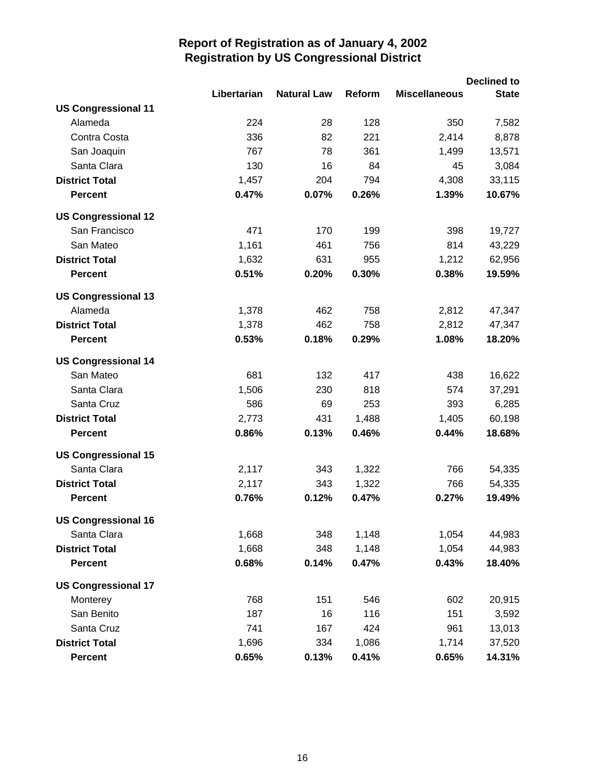|                            |             |                    |        |                      | <b>Declined to</b> |
|----------------------------|-------------|--------------------|--------|----------------------|--------------------|
|                            | Libertarian | <b>Natural Law</b> | Reform | <b>Miscellaneous</b> | <b>State</b>       |
| <b>US Congressional 11</b> |             |                    |        |                      |                    |
| Alameda                    | 224         | 28                 | 128    | 350                  | 7,582              |
| Contra Costa               | 336         | 82                 | 221    | 2,414                | 8,878              |
| San Joaquin                | 767         | 78                 | 361    | 1,499                | 13,571             |
| Santa Clara                | 130         | 16                 | 84     | 45                   | 3,084              |
| <b>District Total</b>      | 1,457       | 204                | 794    | 4,308                | 33,115             |
| <b>Percent</b>             | 0.47%       | 0.07%              | 0.26%  | 1.39%                | 10.67%             |
| <b>US Congressional 12</b> |             |                    |        |                      |                    |
| San Francisco              | 471         | 170                | 199    | 398                  | 19,727             |
| San Mateo                  | 1,161       | 461                | 756    | 814                  | 43,229             |
| <b>District Total</b>      | 1,632       | 631                | 955    | 1,212                | 62,956             |
| <b>Percent</b>             | 0.51%       | 0.20%              | 0.30%  | 0.38%                | 19.59%             |
| <b>US Congressional 13</b> |             |                    |        |                      |                    |
| Alameda                    | 1,378       | 462                | 758    | 2,812                | 47,347             |
| <b>District Total</b>      | 1,378       | 462                | 758    | 2,812                | 47,347             |
| <b>Percent</b>             | 0.53%       | 0.18%              | 0.29%  | 1.08%                | 18.20%             |
| <b>US Congressional 14</b> |             |                    |        |                      |                    |
| San Mateo                  | 681         | 132                | 417    | 438                  | 16,622             |
| Santa Clara                | 1,506       | 230                | 818    | 574                  | 37,291             |
| Santa Cruz                 | 586         | 69                 | 253    | 393                  | 6,285              |
| <b>District Total</b>      | 2,773       | 431                | 1,488  | 1,405                | 60,198             |
| <b>Percent</b>             | 0.86%       | 0.13%              | 0.46%  | 0.44%                | 18.68%             |
| <b>US Congressional 15</b> |             |                    |        |                      |                    |
| Santa Clara                | 2,117       | 343                | 1,322  | 766                  | 54,335             |
| <b>District Total</b>      | 2,117       | 343                | 1,322  | 766                  | 54,335             |
| <b>Percent</b>             | 0.76%       | 0.12%              | 0.47%  | 0.27%                | 19.49%             |
| <b>US Congressional 16</b> |             |                    |        |                      |                    |
| Santa Clara                | 1,668       | 348                | 1,148  | 1,054                | 44,983             |
| <b>District Total</b>      | 1,668       | 348                | 1,148  | 1,054                | 44,983             |
| <b>Percent</b>             | 0.68%       | 0.14%              | 0.47%  | 0.43%                | 18.40%             |
| <b>US Congressional 17</b> |             |                    |        |                      |                    |
| Monterey                   | 768         | 151                | 546    | 602                  | 20,915             |
| San Benito                 | 187         | 16                 | 116    | 151                  | 3,592              |
| Santa Cruz                 | 741         | 167                | 424    | 961                  | 13,013             |
| <b>District Total</b>      | 1,696       | 334                | 1,086  | 1,714                | 37,520             |
| <b>Percent</b>             | 0.65%       | 0.13%              | 0.41%  | 0.65%                | 14.31%             |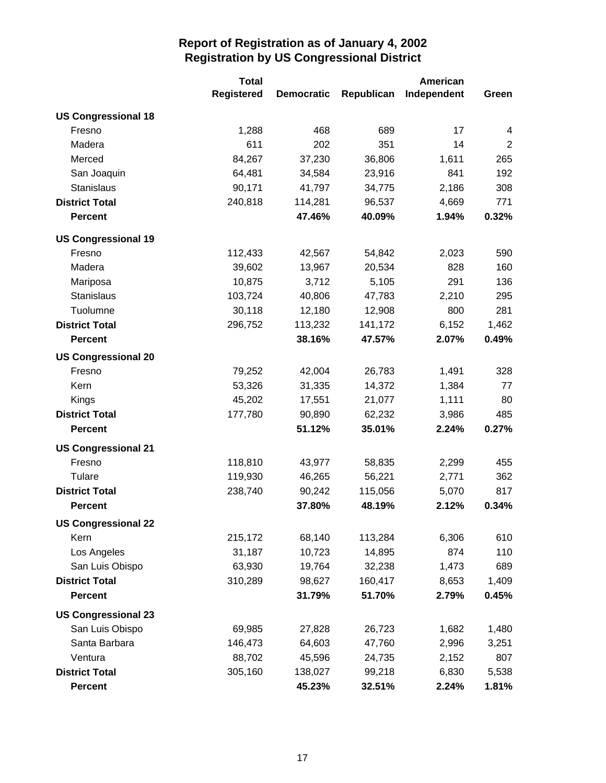|                            | <b>Total</b>      |                   |            | American    |                |
|----------------------------|-------------------|-------------------|------------|-------------|----------------|
|                            | <b>Registered</b> | <b>Democratic</b> | Republican | Independent | Green          |
| <b>US Congressional 18</b> |                   |                   |            |             |                |
| Fresno                     | 1,288             | 468               | 689        | 17          | $\overline{4}$ |
| Madera                     | 611               | 202               | 351        | 14          | $\overline{2}$ |
| Merced                     | 84,267            | 37,230            | 36,806     | 1,611       | 265            |
| San Joaquin                | 64,481            | 34,584            | 23,916     | 841         | 192            |
| Stanislaus                 | 90,171            | 41,797            | 34,775     | 2,186       | 308            |
| <b>District Total</b>      | 240,818           | 114,281           | 96,537     | 4,669       | 771            |
| <b>Percent</b>             |                   | 47.46%            | 40.09%     | 1.94%       | 0.32%          |
| <b>US Congressional 19</b> |                   |                   |            |             |                |
| Fresno                     | 112,433           | 42,567            | 54,842     | 2,023       | 590            |
| Madera                     | 39,602            | 13,967            | 20,534     | 828         | 160            |
| Mariposa                   | 10,875            | 3,712             | 5,105      | 291         | 136            |
| <b>Stanislaus</b>          | 103,724           | 40,806            | 47,783     | 2,210       | 295            |
| Tuolumne                   | 30,118            | 12,180            | 12,908     | 800         | 281            |
| <b>District Total</b>      | 296,752           | 113,232           | 141,172    | 6,152       | 1,462          |
| <b>Percent</b>             |                   | 38.16%            | 47.57%     | 2.07%       | 0.49%          |
| <b>US Congressional 20</b> |                   |                   |            |             |                |
| Fresno                     | 79,252            | 42,004            | 26,783     | 1,491       | 328            |
| Kern                       | 53,326            | 31,335            | 14,372     | 1,384       | 77             |
| Kings                      | 45,202            | 17,551            | 21,077     | 1,111       | 80             |
| <b>District Total</b>      | 177,780           | 90,890            | 62,232     | 3,986       | 485            |
| <b>Percent</b>             |                   | 51.12%            | 35.01%     | 2.24%       | 0.27%          |
| <b>US Congressional 21</b> |                   |                   |            |             |                |
| Fresno                     | 118,810           | 43,977            | 58,835     | 2,299       | 455            |
| Tulare                     | 119,930           | 46,265            | 56,221     | 2,771       | 362            |
| <b>District Total</b>      | 238,740           | 90,242            | 115,056    | 5,070       | 817            |
| <b>Percent</b>             |                   | 37.80%            | 48.19%     | 2.12%       | 0.34%          |
| <b>US Congressional 22</b> |                   |                   |            |             |                |
| Kern                       | 215,172           | 68,140            | 113,284    | 6,306       | 610            |
| Los Angeles                | 31,187            | 10,723            | 14,895     | 874         | 110            |
| San Luis Obispo            | 63,930            | 19,764            | 32,238     | 1,473       | 689            |
| <b>District Total</b>      | 310,289           | 98,627            | 160,417    | 8,653       | 1,409          |
| <b>Percent</b>             |                   | 31.79%            | 51.70%     | 2.79%       | 0.45%          |
| <b>US Congressional 23</b> |                   |                   |            |             |                |
| San Luis Obispo            | 69,985            | 27,828            | 26,723     | 1,682       | 1,480          |
| Santa Barbara              | 146,473           | 64,603            | 47,760     | 2,996       | 3,251          |
| Ventura                    | 88,702            | 45,596            | 24,735     | 2,152       | 807            |
| <b>District Total</b>      | 305,160           | 138,027           | 99,218     | 6,830       | 5,538          |
| <b>Percent</b>             |                   | 45.23%            | 32.51%     | 2.24%       | 1.81%          |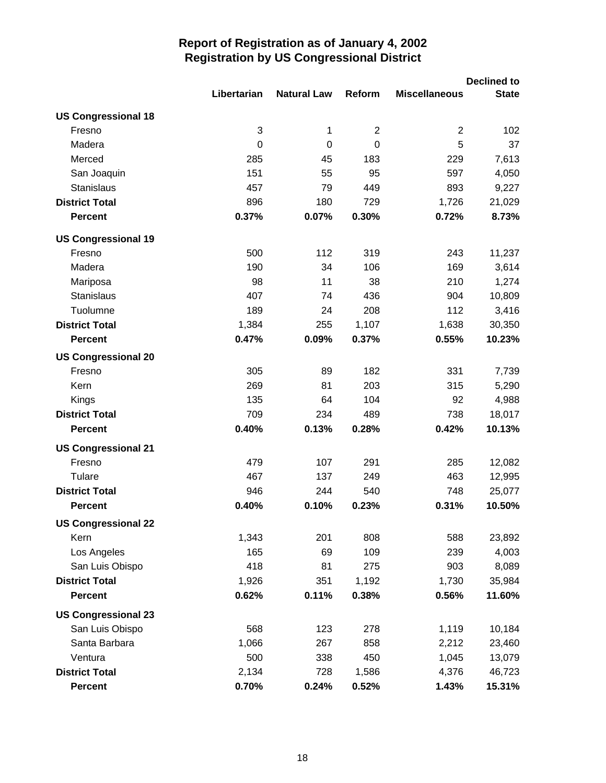|                            |             |                    |                |                      | <b>Declined to</b> |
|----------------------------|-------------|--------------------|----------------|----------------------|--------------------|
|                            | Libertarian | <b>Natural Law</b> | Reform         | <b>Miscellaneous</b> | <b>State</b>       |
| <b>US Congressional 18</b> |             |                    |                |                      |                    |
| Fresno                     | 3           | 1                  | $\overline{2}$ | $\overline{c}$       | 102                |
| Madera                     | $\mathbf 0$ | $\mathbf 0$        | 0              | 5                    | 37                 |
| Merced                     | 285         | 45                 | 183            | 229                  | 7,613              |
| San Joaquin                | 151         | 55                 | 95             | 597                  | 4,050              |
| <b>Stanislaus</b>          | 457         | 79                 | 449            | 893                  | 9,227              |
| <b>District Total</b>      | 896         | 180                | 729            | 1,726                | 21,029             |
| <b>Percent</b>             | 0.37%       | 0.07%              | 0.30%          | 0.72%                | 8.73%              |
| <b>US Congressional 19</b> |             |                    |                |                      |                    |
| Fresno                     | 500         | 112                | 319            | 243                  | 11,237             |
| Madera                     | 190         | 34                 | 106            | 169                  | 3,614              |
| Mariposa                   | 98          | 11                 | 38             | 210                  | 1,274              |
| <b>Stanislaus</b>          | 407         | 74                 | 436            | 904                  | 10,809             |
| Tuolumne                   | 189         | 24                 | 208            | 112                  | 3,416              |
| <b>District Total</b>      | 1,384       | 255                | 1,107          | 1,638                | 30,350             |
| <b>Percent</b>             | 0.47%       | 0.09%              | 0.37%          | 0.55%                | 10.23%             |
| <b>US Congressional 20</b> |             |                    |                |                      |                    |
| Fresno                     | 305         | 89                 | 182            | 331                  | 7,739              |
| Kern                       | 269         | 81                 | 203            | 315                  | 5,290              |
| Kings                      | 135         | 64                 | 104            | 92                   | 4,988              |
| <b>District Total</b>      | 709         | 234                | 489            | 738                  | 18,017             |
| <b>Percent</b>             | 0.40%       | 0.13%              | 0.28%          | 0.42%                | 10.13%             |
| <b>US Congressional 21</b> |             |                    |                |                      |                    |
| Fresno                     | 479         | 107                | 291            | 285                  | 12,082             |
| Tulare                     | 467         | 137                | 249            | 463                  | 12,995             |
| <b>District Total</b>      | 946         | 244                | 540            | 748                  | 25,077             |
| <b>Percent</b>             | 0.40%       | 0.10%              | 0.23%          | 0.31%                | 10.50%             |
| <b>US Congressional 22</b> |             |                    |                |                      |                    |
| Kern                       | 1,343       | 201                | 808            | 588                  | 23,892             |
| Los Angeles                | 165         | 69                 | 109            | 239                  | 4,003              |
| San Luis Obispo            | 418         | 81                 | 275            | 903                  | 8,089              |
| <b>District Total</b>      | 1,926       | 351                | 1,192          | 1,730                | 35,984             |
| <b>Percent</b>             | 0.62%       | 0.11%              | 0.38%          | 0.56%                | 11.60%             |
| <b>US Congressional 23</b> |             |                    |                |                      |                    |
| San Luis Obispo            | 568         | 123                | 278            | 1,119                | 10,184             |
| Santa Barbara              | 1,066       | 267                | 858            | 2,212                | 23,460             |
| Ventura                    | 500         | 338                | 450            | 1,045                | 13,079             |
| <b>District Total</b>      | 2,134       | 728                | 1,586          | 4,376                | 46,723             |
| <b>Percent</b>             | 0.70%       | 0.24%              | 0.52%          | 1.43%                | 15.31%             |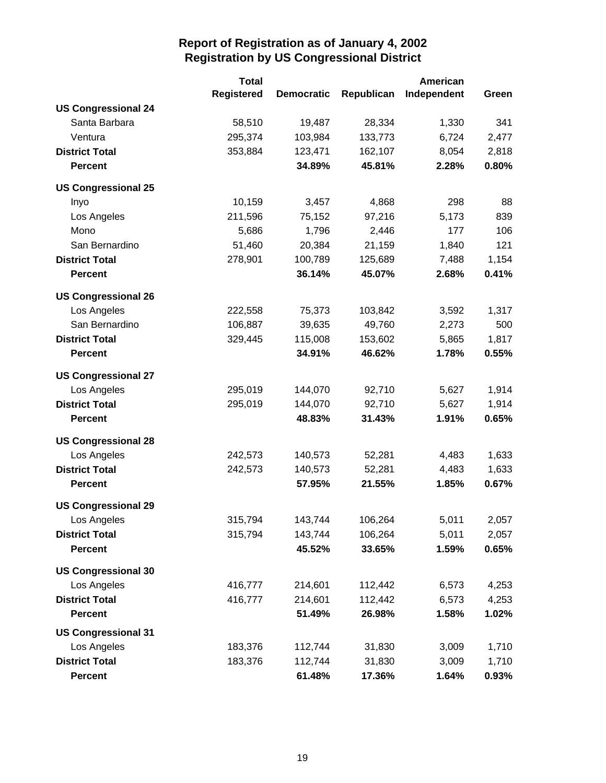|                            | <b>Total</b>      |                   |            | <b>American</b> |       |
|----------------------------|-------------------|-------------------|------------|-----------------|-------|
|                            | <b>Registered</b> | <b>Democratic</b> | Republican | Independent     | Green |
| <b>US Congressional 24</b> |                   |                   |            |                 |       |
| Santa Barbara              | 58,510            | 19,487            | 28,334     | 1,330           | 341   |
| Ventura                    | 295,374           | 103,984           | 133,773    | 6,724           | 2,477 |
| <b>District Total</b>      | 353,884           | 123,471           | 162,107    | 8,054           | 2,818 |
| <b>Percent</b>             |                   | 34.89%            | 45.81%     | 2.28%           | 0.80% |
| <b>US Congressional 25</b> |                   |                   |            |                 |       |
| Inyo                       | 10,159            | 3,457             | 4,868      | 298             | 88    |
| Los Angeles                | 211,596           | 75,152            | 97,216     | 5,173           | 839   |
| Mono                       | 5,686             | 1,796             | 2,446      | 177             | 106   |
| San Bernardino             | 51,460            | 20,384            | 21,159     | 1,840           | 121   |
| <b>District Total</b>      | 278,901           | 100,789           | 125,689    | 7,488           | 1,154 |
| <b>Percent</b>             |                   | 36.14%            | 45.07%     | 2.68%           | 0.41% |
| <b>US Congressional 26</b> |                   |                   |            |                 |       |
| Los Angeles                | 222,558           | 75,373            | 103,842    | 3,592           | 1,317 |
| San Bernardino             | 106,887           | 39,635            | 49,760     | 2,273           | 500   |
| <b>District Total</b>      | 329,445           | 115,008           | 153,602    | 5,865           | 1,817 |
| <b>Percent</b>             |                   | 34.91%            | 46.62%     | 1.78%           | 0.55% |
| <b>US Congressional 27</b> |                   |                   |            |                 |       |
| Los Angeles                | 295,019           | 144,070           | 92,710     | 5,627           | 1,914 |
| <b>District Total</b>      | 295,019           | 144,070           | 92,710     | 5,627           | 1,914 |
| <b>Percent</b>             |                   | 48.83%            | 31.43%     | 1.91%           | 0.65% |
| <b>US Congressional 28</b> |                   |                   |            |                 |       |
| Los Angeles                | 242,573           | 140,573           | 52,281     | 4,483           | 1,633 |
| <b>District Total</b>      | 242,573           | 140,573           | 52,281     | 4,483           | 1,633 |
| <b>Percent</b>             |                   | 57.95%            | 21.55%     | 1.85%           | 0.67% |
| <b>US Congressional 29</b> |                   |                   |            |                 |       |
| Los Angeles                | 315,794           | 143,744           | 106,264    | 5,011           | 2,057 |
| <b>District Total</b>      | 315,794           | 143,744           | 106,264    | 5,011           | 2,057 |
| <b>Percent</b>             |                   | 45.52%            | 33.65%     | 1.59%           | 0.65% |
| <b>US Congressional 30</b> |                   |                   |            |                 |       |
| Los Angeles                | 416,777           | 214,601           | 112,442    | 6,573           | 4,253 |
| <b>District Total</b>      | 416,777           | 214,601           | 112,442    | 6,573           | 4,253 |
| <b>Percent</b>             |                   | 51.49%            | 26.98%     | 1.58%           | 1.02% |
| <b>US Congressional 31</b> |                   |                   |            |                 |       |
| Los Angeles                | 183,376           | 112,744           | 31,830     | 3,009           | 1,710 |
| <b>District Total</b>      | 183,376           | 112,744           | 31,830     | 3,009           | 1,710 |
| <b>Percent</b>             |                   | 61.48%            | 17.36%     | 1.64%           | 0.93% |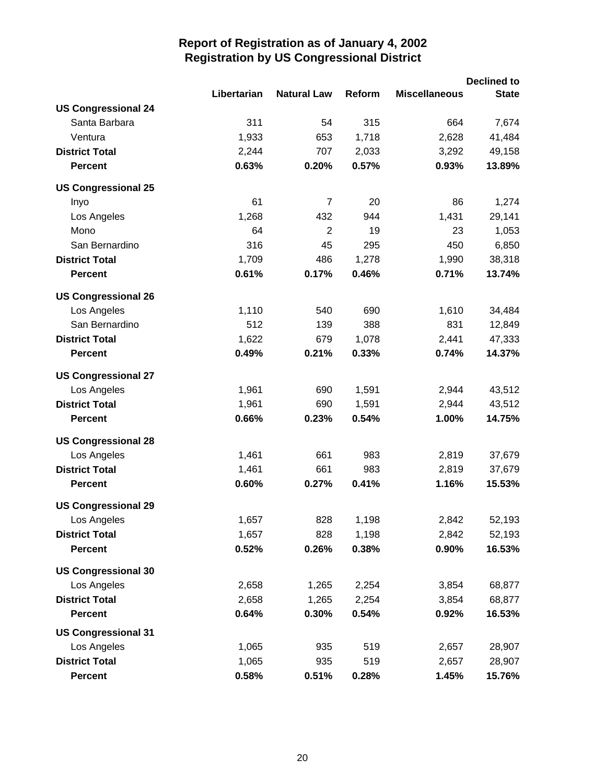|                            |             |                    |        |                      | <b>Declined to</b> |
|----------------------------|-------------|--------------------|--------|----------------------|--------------------|
|                            | Libertarian | <b>Natural Law</b> | Reform | <b>Miscellaneous</b> | <b>State</b>       |
| <b>US Congressional 24</b> |             |                    |        |                      |                    |
| Santa Barbara              | 311         | 54                 | 315    | 664                  | 7,674              |
| Ventura                    | 1,933       | 653                | 1,718  | 2,628                | 41,484             |
| <b>District Total</b>      | 2,244       | 707                | 2,033  | 3,292                | 49,158             |
| <b>Percent</b>             | 0.63%       | 0.20%              | 0.57%  | 0.93%                | 13.89%             |
| <b>US Congressional 25</b> |             |                    |        |                      |                    |
| Inyo                       | 61          | $\overline{7}$     | 20     | 86                   | 1,274              |
| Los Angeles                | 1,268       | 432                | 944    | 1,431                | 29,141             |
| Mono                       | 64          | $\overline{2}$     | 19     | 23                   | 1,053              |
| San Bernardino             | 316         | 45                 | 295    | 450                  | 6,850              |
| <b>District Total</b>      | 1,709       | 486                | 1,278  | 1,990                | 38,318             |
| <b>Percent</b>             | 0.61%       | 0.17%              | 0.46%  | 0.71%                | 13.74%             |
| <b>US Congressional 26</b> |             |                    |        |                      |                    |
| Los Angeles                | 1,110       | 540                | 690    | 1,610                | 34,484             |
| San Bernardino             | 512         | 139                | 388    | 831                  | 12,849             |
| <b>District Total</b>      | 1,622       | 679                | 1,078  | 2,441                | 47,333             |
| <b>Percent</b>             | 0.49%       | 0.21%              | 0.33%  | 0.74%                | 14.37%             |
| <b>US Congressional 27</b> |             |                    |        |                      |                    |
| Los Angeles                | 1,961       | 690                | 1,591  | 2,944                | 43,512             |
| <b>District Total</b>      | 1,961       | 690                | 1,591  | 2,944                | 43,512             |
| <b>Percent</b>             | 0.66%       | 0.23%              | 0.54%  | 1.00%                | 14.75%             |
| <b>US Congressional 28</b> |             |                    |        |                      |                    |
| Los Angeles                | 1,461       | 661                | 983    | 2,819                | 37,679             |
| <b>District Total</b>      | 1,461       | 661                | 983    | 2,819                | 37,679             |
| <b>Percent</b>             | 0.60%       | 0.27%              | 0.41%  | 1.16%                | 15.53%             |
| <b>US Congressional 29</b> |             |                    |        |                      |                    |
| Los Angeles                | 1,657       | 828                | 1,198  | 2,842                | 52,193             |
| <b>District Total</b>      | 1,657       | 828                | 1,198  | 2,842                | 52,193             |
| <b>Percent</b>             | 0.52%       | 0.26%              | 0.38%  | 0.90%                | 16.53%             |
| <b>US Congressional 30</b> |             |                    |        |                      |                    |
| Los Angeles                | 2,658       | 1,265              | 2,254  | 3,854                | 68,877             |
| <b>District Total</b>      | 2,658       | 1,265              | 2,254  | 3,854                | 68,877             |
| <b>Percent</b>             | 0.64%       | 0.30%              | 0.54%  | 0.92%                | 16.53%             |
| <b>US Congressional 31</b> |             |                    |        |                      |                    |
| Los Angeles                | 1,065       | 935                | 519    | 2,657                | 28,907             |
| <b>District Total</b>      | 1,065       | 935                | 519    | 2,657                | 28,907             |
| <b>Percent</b>             | 0.58%       | 0.51%              | 0.28%  | 1.45%                | 15.76%             |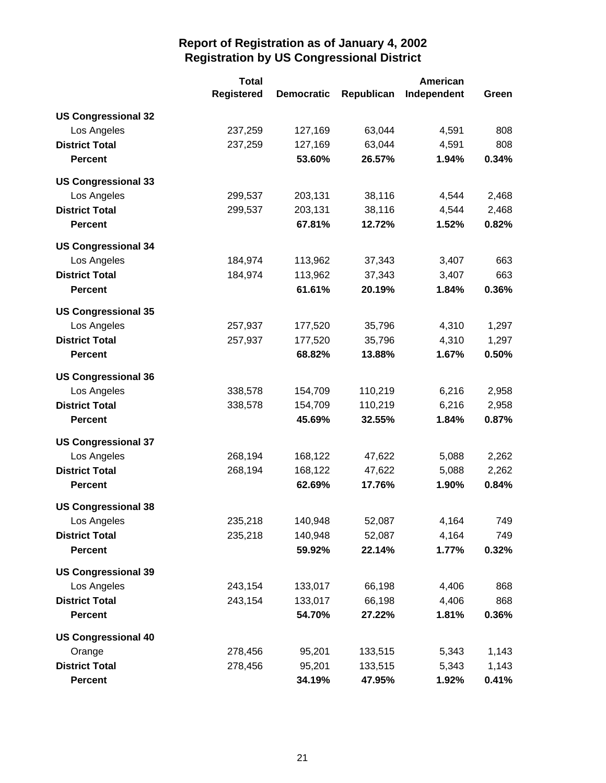|                            | <b>Total</b>      |                   |            | <b>American</b> |       |
|----------------------------|-------------------|-------------------|------------|-----------------|-------|
|                            | <b>Registered</b> | <b>Democratic</b> | Republican | Independent     | Green |
| <b>US Congressional 32</b> |                   |                   |            |                 |       |
| Los Angeles                | 237,259           | 127,169           | 63,044     | 4,591           | 808   |
| <b>District Total</b>      | 237,259           | 127,169           | 63,044     | 4,591           | 808   |
| <b>Percent</b>             |                   | 53.60%            | 26.57%     | 1.94%           | 0.34% |
| <b>US Congressional 33</b> |                   |                   |            |                 |       |
| Los Angeles                | 299,537           | 203,131           | 38,116     | 4,544           | 2,468 |
| <b>District Total</b>      | 299,537           | 203,131           | 38,116     | 4,544           | 2,468 |
| <b>Percent</b>             |                   | 67.81%            | 12.72%     | 1.52%           | 0.82% |
| <b>US Congressional 34</b> |                   |                   |            |                 |       |
| Los Angeles                | 184,974           | 113,962           | 37,343     | 3,407           | 663   |
| <b>District Total</b>      | 184,974           | 113,962           | 37,343     | 3,407           | 663   |
| <b>Percent</b>             |                   | 61.61%            | 20.19%     | 1.84%           | 0.36% |
| <b>US Congressional 35</b> |                   |                   |            |                 |       |
| Los Angeles                | 257,937           | 177,520           | 35,796     | 4,310           | 1,297 |
| <b>District Total</b>      | 257,937           | 177,520           | 35,796     | 4,310           | 1,297 |
| <b>Percent</b>             |                   | 68.82%            | 13.88%     | 1.67%           | 0.50% |
| <b>US Congressional 36</b> |                   |                   |            |                 |       |
| Los Angeles                | 338,578           | 154,709           | 110,219    | 6,216           | 2,958 |
| <b>District Total</b>      | 338,578           | 154,709           | 110,219    | 6,216           | 2,958 |
| <b>Percent</b>             |                   | 45.69%            | 32.55%     | 1.84%           | 0.87% |
| <b>US Congressional 37</b> |                   |                   |            |                 |       |
| Los Angeles                | 268,194           | 168,122           | 47,622     | 5,088           | 2,262 |
| <b>District Total</b>      | 268,194           | 168,122           | 47,622     | 5,088           | 2,262 |
| <b>Percent</b>             |                   | 62.69%            | 17.76%     | 1.90%           | 0.84% |
| <b>US Congressional 38</b> |                   |                   |            |                 |       |
| Los Angeles                | 235,218           | 140,948           | 52,087     | 4,164           | 749   |
| <b>District Total</b>      | 235,218           | 140,948           | 52,087     | 4,164           | 749   |
| <b>Percent</b>             |                   | 59.92%            | 22.14%     | 1.77%           | 0.32% |
| <b>US Congressional 39</b> |                   |                   |            |                 |       |
| Los Angeles                | 243,154           | 133,017           | 66,198     | 4,406           | 868   |
| <b>District Total</b>      | 243,154           | 133,017           | 66,198     | 4,406           | 868   |
| <b>Percent</b>             |                   | 54.70%            | 27.22%     | 1.81%           | 0.36% |
| <b>US Congressional 40</b> |                   |                   |            |                 |       |
| Orange                     | 278,456           | 95,201            | 133,515    | 5,343           | 1,143 |
| <b>District Total</b>      | 278,456           | 95,201            | 133,515    | 5,343           | 1,143 |
| <b>Percent</b>             |                   | 34.19%            | 47.95%     | 1.92%           | 0.41% |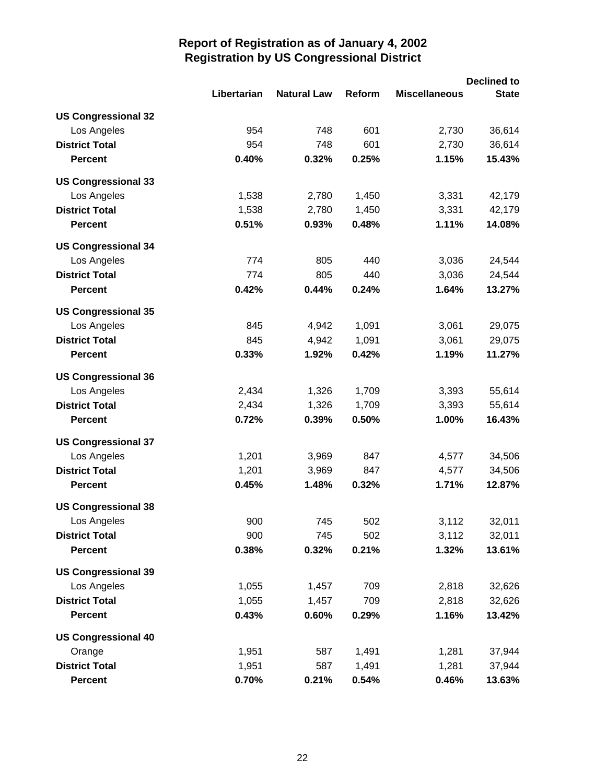|                            |             |                    |        |                      | <b>Declined to</b> |
|----------------------------|-------------|--------------------|--------|----------------------|--------------------|
|                            | Libertarian | <b>Natural Law</b> | Reform | <b>Miscellaneous</b> | <b>State</b>       |
| <b>US Congressional 32</b> |             |                    |        |                      |                    |
| Los Angeles                | 954         | 748                | 601    | 2,730                | 36,614             |
| <b>District Total</b>      | 954         | 748                | 601    | 2,730                | 36,614             |
| <b>Percent</b>             | 0.40%       | 0.32%              | 0.25%  | 1.15%                | 15.43%             |
| <b>US Congressional 33</b> |             |                    |        |                      |                    |
| Los Angeles                | 1,538       | 2,780              | 1,450  | 3,331                | 42,179             |
| <b>District Total</b>      | 1,538       | 2,780              | 1,450  | 3,331                | 42,179             |
| <b>Percent</b>             | 0.51%       | 0.93%              | 0.48%  | 1.11%                | 14.08%             |
| <b>US Congressional 34</b> |             |                    |        |                      |                    |
| Los Angeles                | 774         | 805                | 440    | 3,036                | 24,544             |
| <b>District Total</b>      | 774         | 805                | 440    | 3,036                | 24,544             |
| <b>Percent</b>             | 0.42%       | 0.44%              | 0.24%  | 1.64%                | 13.27%             |
| <b>US Congressional 35</b> |             |                    |        |                      |                    |
| Los Angeles                | 845         | 4,942              | 1,091  | 3,061                | 29,075             |
| <b>District Total</b>      | 845         | 4,942              | 1,091  | 3,061                | 29,075             |
| <b>Percent</b>             | 0.33%       | 1.92%              | 0.42%  | 1.19%                | 11.27%             |
| <b>US Congressional 36</b> |             |                    |        |                      |                    |
| Los Angeles                | 2,434       | 1,326              | 1,709  | 3,393                | 55,614             |
| <b>District Total</b>      | 2,434       | 1,326              | 1,709  | 3,393                | 55,614             |
| <b>Percent</b>             | 0.72%       | 0.39%              | 0.50%  | 1.00%                | 16.43%             |
| <b>US Congressional 37</b> |             |                    |        |                      |                    |
| Los Angeles                | 1,201       | 3,969              | 847    | 4,577                | 34,506             |
| <b>District Total</b>      | 1,201       | 3,969              | 847    | 4,577                | 34,506             |
| <b>Percent</b>             | 0.45%       | 1.48%              | 0.32%  | 1.71%                | 12.87%             |
| <b>US Congressional 38</b> |             |                    |        |                      |                    |
| Los Angeles                | 900         | 745                | 502    | 3,112                | 32,011             |
| <b>District Total</b>      | 900         | 745                | 502    | 3,112                | 32,011             |
| <b>Percent</b>             | 0.38%       | 0.32%              | 0.21%  | 1.32%                | 13.61%             |
| <b>US Congressional 39</b> |             |                    |        |                      |                    |
| Los Angeles                | 1,055       | 1,457              | 709    | 2,818                | 32,626             |
| <b>District Total</b>      | 1,055       | 1,457              | 709    | 2,818                | 32,626             |
| <b>Percent</b>             | 0.43%       | 0.60%              | 0.29%  | 1.16%                | 13.42%             |
| <b>US Congressional 40</b> |             |                    |        |                      |                    |
| Orange                     | 1,951       | 587                | 1,491  | 1,281                | 37,944             |
| <b>District Total</b>      | 1,951       | 587                | 1,491  | 1,281                | 37,944             |
| <b>Percent</b>             | 0.70%       | 0.21%              | 0.54%  | 0.46%                | 13.63%             |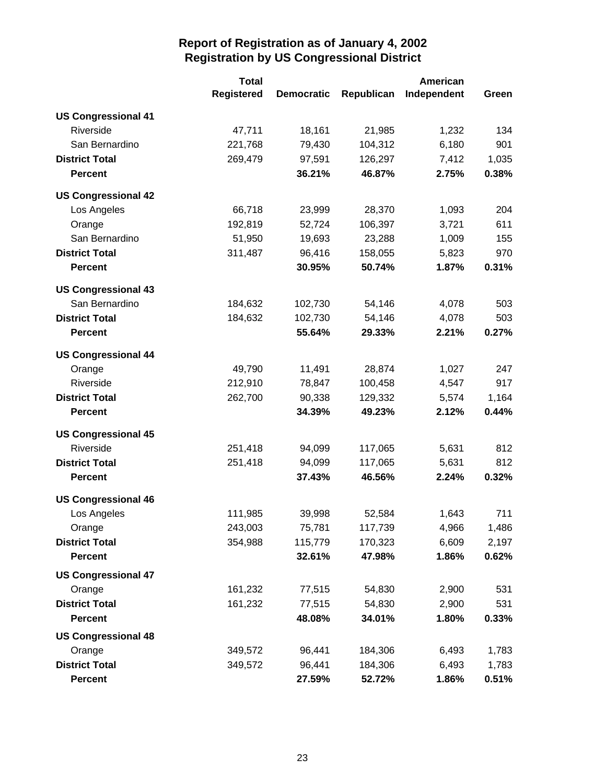|                            | <b>Total</b>      |                   |            | American    |       |  |
|----------------------------|-------------------|-------------------|------------|-------------|-------|--|
|                            | <b>Registered</b> | <b>Democratic</b> | Republican | Independent | Green |  |
| <b>US Congressional 41</b> |                   |                   |            |             |       |  |
| Riverside                  | 47,711            | 18,161            | 21,985     | 1,232       | 134   |  |
| San Bernardino             | 221,768           | 79,430            | 104,312    | 6,180       | 901   |  |
| <b>District Total</b>      | 269,479           | 97,591            | 126,297    | 7,412       | 1,035 |  |
| <b>Percent</b>             |                   | 36.21%            | 46.87%     | 2.75%       | 0.38% |  |
| <b>US Congressional 42</b> |                   |                   |            |             |       |  |
| Los Angeles                | 66,718            | 23,999            | 28,370     | 1,093       | 204   |  |
| Orange                     | 192,819           | 52,724            | 106,397    | 3,721       | 611   |  |
| San Bernardino             | 51,950            | 19,693            | 23,288     | 1,009       | 155   |  |
| <b>District Total</b>      | 311,487           | 96,416            | 158,055    | 5,823       | 970   |  |
| <b>Percent</b>             |                   | 30.95%            | 50.74%     | 1.87%       | 0.31% |  |
| <b>US Congressional 43</b> |                   |                   |            |             |       |  |
| San Bernardino             | 184,632           | 102,730           | 54,146     | 4,078       | 503   |  |
| <b>District Total</b>      | 184,632           | 102,730           | 54,146     | 4,078       | 503   |  |
| <b>Percent</b>             |                   | 55.64%            | 29.33%     | 2.21%       | 0.27% |  |
| <b>US Congressional 44</b> |                   |                   |            |             |       |  |
| Orange                     | 49,790            | 11,491            | 28,874     | 1,027       | 247   |  |
| Riverside                  | 212,910           | 78,847            | 100,458    | 4,547       | 917   |  |
| <b>District Total</b>      | 262,700           | 90,338            | 129,332    | 5,574       | 1,164 |  |
| <b>Percent</b>             |                   | 34.39%            | 49.23%     | 2.12%       | 0.44% |  |
| <b>US Congressional 45</b> |                   |                   |            |             |       |  |
| Riverside                  | 251,418           | 94,099            | 117,065    | 5,631       | 812   |  |
| <b>District Total</b>      | 251,418           | 94,099            | 117,065    | 5,631       | 812   |  |
| <b>Percent</b>             |                   | 37.43%            | 46.56%     | 2.24%       | 0.32% |  |
| <b>US Congressional 46</b> |                   |                   |            |             |       |  |
| Los Angeles                | 111,985           | 39,998            | 52,584     | 1,643       | 711   |  |
| Orange                     | 243,003           | 75,781            | 117,739    | 4,966       | 1,486 |  |
| <b>District Total</b>      | 354,988           | 115,779           | 170,323    | 6,609       | 2,197 |  |
| <b>Percent</b>             |                   | 32.61%            | 47.98%     | 1.86%       | 0.62% |  |
| <b>US Congressional 47</b> |                   |                   |            |             |       |  |
| Orange                     | 161,232           | 77,515            | 54,830     | 2,900       | 531   |  |
| <b>District Total</b>      | 161,232           | 77,515            | 54,830     | 2,900       | 531   |  |
| <b>Percent</b>             |                   | 48.08%            | 34.01%     | 1.80%       | 0.33% |  |
| <b>US Congressional 48</b> |                   |                   |            |             |       |  |
| Orange                     | 349,572           | 96,441            | 184,306    | 6,493       | 1,783 |  |
| <b>District Total</b>      | 349,572           | 96,441            | 184,306    | 6,493       | 1,783 |  |
| <b>Percent</b>             |                   | 27.59%            | 52.72%     | 1.86%       | 0.51% |  |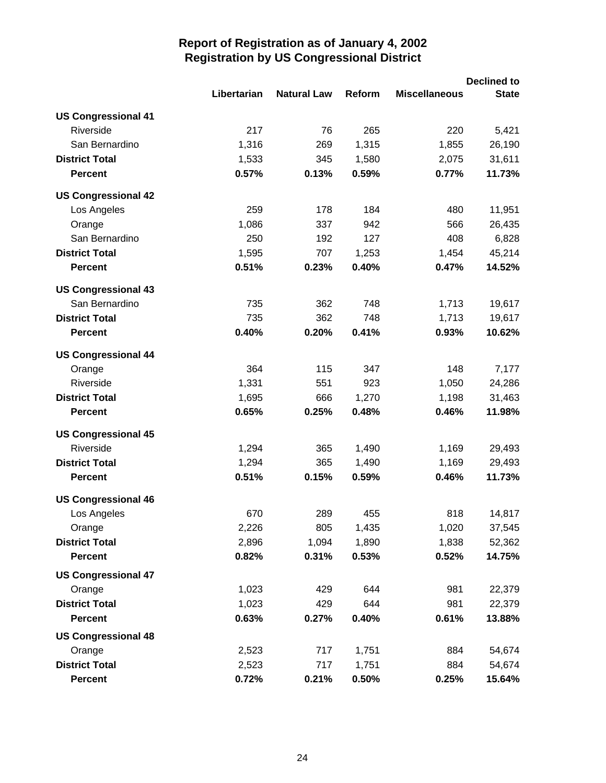|                            |             |                    |        | <b>Declined to</b>   |              |
|----------------------------|-------------|--------------------|--------|----------------------|--------------|
|                            | Libertarian | <b>Natural Law</b> | Reform | <b>Miscellaneous</b> | <b>State</b> |
| <b>US Congressional 41</b> |             |                    |        |                      |              |
| Riverside                  | 217         | 76                 | 265    | 220                  | 5,421        |
| San Bernardino             | 1,316       | 269                | 1,315  | 1,855                | 26,190       |
| <b>District Total</b>      | 1,533       | 345                | 1,580  | 2,075                | 31,611       |
| <b>Percent</b>             | 0.57%       | 0.13%              | 0.59%  | 0.77%                | 11.73%       |
| <b>US Congressional 42</b> |             |                    |        |                      |              |
| Los Angeles                | 259         | 178                | 184    | 480                  | 11,951       |
| Orange                     | 1,086       | 337                | 942    | 566                  | 26,435       |
| San Bernardino             | 250         | 192                | 127    | 408                  | 6,828        |
| <b>District Total</b>      | 1,595       | 707                | 1,253  | 1,454                | 45,214       |
| <b>Percent</b>             | 0.51%       | 0.23%              | 0.40%  | 0.47%                | 14.52%       |
| <b>US Congressional 43</b> |             |                    |        |                      |              |
| San Bernardino             | 735         | 362                | 748    | 1,713                | 19,617       |
| <b>District Total</b>      | 735         | 362                | 748    | 1,713                | 19,617       |
| <b>Percent</b>             | 0.40%       | 0.20%              | 0.41%  | 0.93%                | 10.62%       |
| <b>US Congressional 44</b> |             |                    |        |                      |              |
| Orange                     | 364         | 115                | 347    | 148                  | 7,177        |
| Riverside                  | 1,331       | 551                | 923    | 1,050                | 24,286       |
| <b>District Total</b>      | 1,695       | 666                | 1,270  | 1,198                | 31,463       |
| <b>Percent</b>             | 0.65%       | 0.25%              | 0.48%  | 0.46%                | 11.98%       |
| <b>US Congressional 45</b> |             |                    |        |                      |              |
| Riverside                  | 1,294       | 365                | 1,490  | 1,169                | 29,493       |
| <b>District Total</b>      | 1,294       | 365                | 1,490  | 1,169                | 29,493       |
| <b>Percent</b>             | 0.51%       | 0.15%              | 0.59%  | 0.46%                | 11.73%       |
| <b>US Congressional 46</b> |             |                    |        |                      |              |
| Los Angeles                | 670         | 289                | 455    | 818                  | 14,817       |
| Orange                     | 2,226       | 805                | 1,435  | 1,020                | 37,545       |
| <b>District Total</b>      | 2,896       | 1,094              | 1,890  | 1,838                | 52,362       |
| <b>Percent</b>             | 0.82%       | 0.31%              | 0.53%  | 0.52%                | 14.75%       |
| <b>US Congressional 47</b> |             |                    |        |                      |              |
| Orange                     | 1,023       | 429                | 644    | 981                  | 22,379       |
| <b>District Total</b>      | 1,023       | 429                | 644    | 981                  | 22,379       |
| <b>Percent</b>             | 0.63%       | 0.27%              | 0.40%  | 0.61%                | 13.88%       |
| <b>US Congressional 48</b> |             |                    |        |                      |              |
| Orange                     | 2,523       | 717                | 1,751  | 884                  | 54,674       |
| <b>District Total</b>      | 2,523       | 717                | 1,751  | 884                  | 54,674       |
| <b>Percent</b>             | 0.72%       | 0.21%              | 0.50%  | 0.25%                | 15.64%       |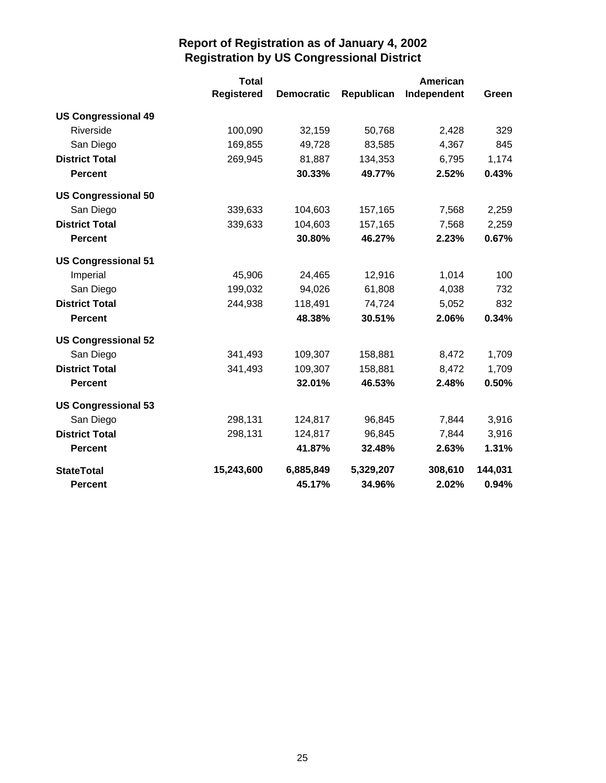|                            | <b>Total</b>      |                   |            |             |         |
|----------------------------|-------------------|-------------------|------------|-------------|---------|
|                            | <b>Registered</b> | <b>Democratic</b> | Republican | Independent | Green   |
| <b>US Congressional 49</b> |                   |                   |            |             |         |
| Riverside                  | 100,090           | 32,159            | 50,768     | 2,428       | 329     |
| San Diego                  | 169,855           | 49,728            | 83,585     | 4,367       | 845     |
| <b>District Total</b>      | 269,945           | 81,887            | 134,353    | 6,795       | 1,174   |
| <b>Percent</b>             |                   | 30.33%            | 49.77%     | 2.52%       | 0.43%   |
| <b>US Congressional 50</b> |                   |                   |            |             |         |
| San Diego                  | 339,633           | 104,603           | 157,165    | 7,568       | 2,259   |
| <b>District Total</b>      | 339,633           | 104,603           | 157,165    | 7,568       | 2,259   |
| <b>Percent</b>             |                   | 30.80%            | 46.27%     | 2.23%       | 0.67%   |
| <b>US Congressional 51</b> |                   |                   |            |             |         |
| Imperial                   | 45,906            | 24,465            | 12,916     | 1,014       | 100     |
| San Diego                  | 199,032           | 94,026            | 61,808     | 4,038       | 732     |
| <b>District Total</b>      | 244,938           | 118,491           | 74,724     | 5,052       | 832     |
| <b>Percent</b>             |                   | 48.38%            | 30.51%     | 2.06%       | 0.34%   |
| <b>US Congressional 52</b> |                   |                   |            |             |         |
| San Diego                  | 341,493           | 109,307           | 158,881    | 8,472       | 1,709   |
| <b>District Total</b>      | 341,493           | 109,307           | 158,881    | 8,472       | 1,709   |
| <b>Percent</b>             |                   | 32.01%            | 46.53%     | 2.48%       | 0.50%   |
| <b>US Congressional 53</b> |                   |                   |            |             |         |
| San Diego                  | 298,131           | 124,817           | 96,845     | 7,844       | 3,916   |
| <b>District Total</b>      | 298,131           | 124,817           | 96,845     | 7,844       | 3,916   |
| <b>Percent</b>             |                   | 41.87%            | 32.48%     | 2.63%       | 1.31%   |
| <b>StateTotal</b>          | 15,243,600        | 6,885,849         | 5,329,207  | 308,610     | 144,031 |
| <b>Percent</b>             |                   | 45.17%            | 34.96%     | 2.02%       | 0.94%   |